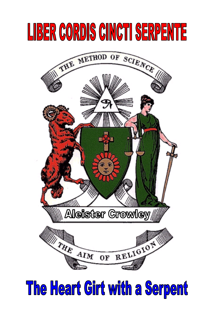# **LIBER CORDIS CINCTI SERPENTE**



## The Heart Girt with a Serpent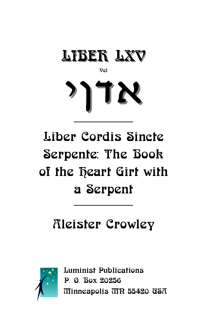

Vel



### Liber Cordis Sincte Serpente: The Book of the **Deart** Girt with a Serpent

### Aleister Crowley



Luminist Publications P. O. Box 20256 Minneapolis MN 55420 USA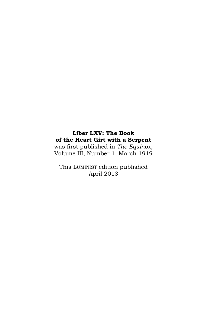#### **Liber LXV: The Book of the Heart Girt with a Serpent**

was first published in *The Equinox*, Volume III, Number 1, March 1919

This LUMINIST edition published April 2013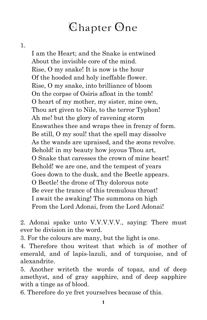#### Chapter One

1.

I am the Heart; and the Snake is entwined About the invisible core of the mind. Rise, O my snake! It is now is the hour Of the hooded and holy ineffable flower. Rise, O my snake, into brilliance of bloom On the corpse of Osiris afloat in the tomb! O heart of my mother, my sister, mine own, Thou art given to Nile, to the terror Typhon! Ah me! but the glory of ravening storm Enswathes thee and wraps thee in frenzy of form. Be still, O my soul! that the spell may dissolve As the wands are upraised, and the æons revolve. Behold! in my beauty how joyous Thou art, O Snake that caresses the crown of mine heart! Behold! we are one, and the tempest of years Goes down to the dusk, and the Beetle appears. O Beetle! the drone of Thy dolorous note Be ever the trance of this tremulous throat! I await the awaking! The summons on high From the Lord Adonai, from the Lord Adonai!

2. Adonai spake unto V.V.V.V.V., saying: There must ever be division in the word.

3. For the colours are many, but the light is one.

4. Therefore thou writest that which is of mother of emerald, and of lapis-lazuli, and of turquoise, and of alexandrite.

5. Another writeth the words of topaz, and of deep amethyst, and of gray sapphire, and of deep sapphire with a tinge as of blood.

6. Therefore do ye fret yourselves because of this.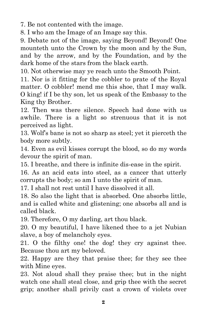7. Be not contented with the image.

8. I who am the Image of an Image say this.

9. Debate not of the image, saying Beyond! Beyond! One mounteth unto the Crown by the moon and by the Sun, and by the arrow, and by the Foundation, and by the dark home of the stars from the black earth.

10. Not otherwise may ye reach unto the Smooth Point.

11. Nor is it fitting for the cobbler to prate of the Royal matter. O cobbler! mend me this shoe, that I may walk. O king! if I be thy son, let us speak of the Embassy to the King thy Brother.

12. Then was there silence. Speech had done with us awhile. There is a light so strenuous that it is not perceived as light.

13. Wolf's bane is not so sharp as steel; yet it pierceth the body more subtly.

14. Even as evil kisses corrupt the blood, so do my words devour the spirit of man.

15. I breathe, and there is infinite dis-ease in the spirit.

16. As an acid eats into steel, as a cancer that utterly corrupts the body; so am I unto the spirit of man.

17. I shall not rest until I have dissolved it all.

18. So also the light that is absorbed. One absorbs little, and is called white and glistening; one absorbs all and is called black.

19. Therefore, O my darling, art thou black.

20. O my beautiful, I have likened thee to a jet Nubian slave, a boy of melancholy eyes.

21. O the filthy one! the dog! they cry against thee. Because thou art my beloved.

22. Happy are they that praise thee; for they see thee with Mine eyes.

23. Not aloud shall they praise thee; but in the night watch one shall steal close, and grip thee with the secret grip; another shall privily cast a crown of violets over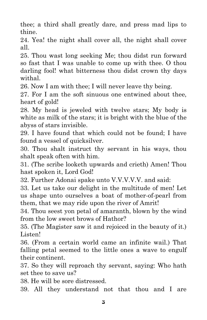thee; a third shall greatly dare, and press mad lips to thine.

24. Yea! the night shall cover all, the night shall cover all.

25. Thou wast long seeking Me; thou didst run forward so fast that I was unable to come up with thee. O thou darling fool! what bitterness thou didst crown thy days withal.

26. Now I am with thee; I will never leave thy being.

27. For I am the soft sinuous one entwined about thee, heart of gold!

28. My head is jeweled with twelve stars; My body is white as milk of the stars; it is bright with the blue of the abyss of stars invisible.

29. I have found that which could not be found; I have found a vessel of quicksilver.

30. Thou shalt instruct thy servant in his ways, thou shalt speak often with him.

31. (The scribe looketh upwards and crieth) Amen! Thou hast spoken it, Lord God!

32. Further Adonai spake unto V.V.V.V.V. and said:

33. Let us take our delight in the multitude of men! Let us shape unto ourselves a boat of mother-of-pearl from them, that we may ride upon the river of Amrit!

34. Thou seest yon petal of amaranth, blown by the wind from the low sweet brows of Hathor?

35. (The Magister saw it and rejoiced in the beauty of it.) Listen!

36. (From a certain world came an infinite wail.) That falling petal seemed to the little ones a wave to engulf their continent.

37. So they will reproach thy servant, saying: Who hath set thee to save us?

38. He will be sore distressed.

39. All they understand not that thou and I are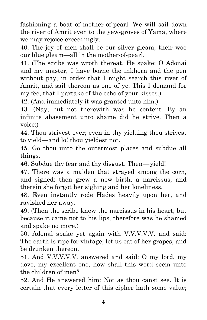fashioning a boat of mother-of-pearl. We will sail down the river of Amrit even to the yew-groves of Yama, where we may rejoice exceedingly.

40. The joy of men shall be our silver gleam, their woe our blue gleam —all in the mother-of-pearl.

41. (The scribe was wroth thereat. He spake: O Adonai and my master, I have borne the inkhorn and the pen without pay, in order that I might search this river of Amrit, and sail thereon as one of ye. This I demand for my fee, that I partake of the echo of your kisses.)

42. (And immediately it was granted unto him.)

43. (Nay; but not therewith was he content. By an infinite abasement unto shame did he strive. Then a voice:)

44. Thou strivest ever; even in thy yielding thou strivest to yield—and lo! thou yieldest not.

45. Go thou unto the outermost places and subdue all things.

46. Subdue thy fear and thy disgust. Then —yield!

47. There was a maiden that strayed among the corn, and sighed; then grew a new birth, a narcissus, and therein she forgot her sighing and her loneliness.

48. Even instantly rode Hades heavily upon her, and ravished her away.

49. (Then the scribe knew the narcissus in his heart; but because it came not to his lips, therefore was he shamed and spake no more.)

50. Adonai spake yet again with V.V.V.V.V. and said: The earth is ripe for vintage; let us eat of her grapes, and be drunken thereon.

51. And V.V.V.V.V. answered and said: O my lord, my dove, my excellent one, how shall this word seem unto the children of men?

52. And He answered him: Not as thou canst see. It is certain that every letter of this cipher hath some value;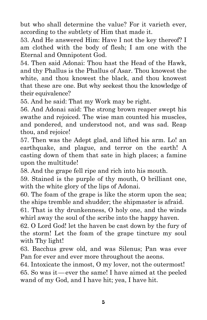but who shall determine the value? For it varieth ever, according to the subtlety of Him that made it.

53. And He answered Him: Have I not the key thereof? I am clothed with the body of flesh; I am one with the Eternal and Omnipotent God.

54. Then said Adonai: Thou hast the Head of the Hawk, and thy Phallus is the Phallus of Asar. Thou knowest the white, and thou knowest the black, and thou knowest that these are one. But why seekest thou the knowledge of their equivalence?

55. And he said: That my Work may be right.

56. And Adonai said: The strong brown reaper swept his swathe and rejoiced. The wise man counted his muscles, and pondered, and understood not, and was sad. Reap thou, and rejoice!

57. Then was the Adept glad, and lifted his arm. Lo! an earthquake, and plague, and terror on the earth! A casting down of them that sate in high places; a famine upon the multitude!

58. And the grape fell ripe and rich into his mouth.

59. Stained is the purple of thy mouth, O brilliant one, with the white glory of the lips of Adonai.

60. The foam of the grape is like the storm upon the sea; the ships tremble and shudder; the shipmaster is afraid.

61. That is thy drunkenness, O holy one, and the winds whirl away the soul of the scribe into the happy haven.

62. O Lord God! let the haven be cast down by the fury of the storm! Let the foam of the grape tincture my soul with Thy light!

63. Bacchus grew old, and was Silenus; Pan was ever Pan for ever and ever more throughout the aeons.

64. Intoxicate the inmost, O my lover, not the outermost! 65. So was it —ever the same! I have aimed at the peeled wand of my God, and I have hit; yea, I have hit.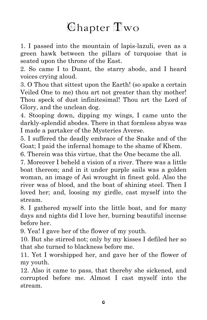#### Chapter Two

1. I passed into the mountain of lapis-lazuli, even as a green hawk between the pillars of turquoise that is seated upon the throne of the East.

2. So came I to Duant, the starry abode, and I heard voices crying aloud.

3. O Thou that sittest upon the Earth! (so spake a certain Veiled One to me) thou art not greater than thy mother! Thou speck of dust infinitesimal! Thou art the Lord of Glory, and the unclean dog.

4. Stooping down, dipping my wings, I came unto the darkly-splendid abodes. There in that formless abyss was I made a partaker of the Mysteries Averse.

5. I suffered the deadly embrace of the Snake and of the Goat; I paid the infernal homage to the shame of Khem.

6. Therein was this virtue, that the One became the all.

7. Moreover I beheld a vision of a river. There was a little boat thereon; and in it under purple sails was a golden woman, an image of Asi wrought in finest gold. Also the river was of blood, and the boat of shining steel. Then I loved her; and, loosing my girdle, cast myself into the stream.

8. I gathered myself into the little boat, and for many days and nights did I love her, burning beautiful incense before her.

9. Yea! I gave her of the flower of my youth.

10. But she stirred not; only by my kisses I defiled her so that she turned to blackness before me.

11. Yet I worshipped her, and gave her of the flower of my youth.

12. Also it came to pass, that thereby she sickened, and corrupted before me. Almost I cast myself into the stream.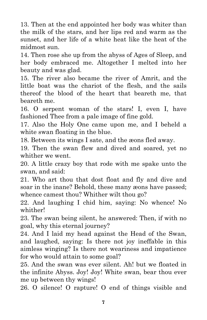13. Then at the end appointed her body was whiter than the milk of the stars, and her lips red and warm as the sunset, and her life of a white heat like the heat of the midmost sun.

14. Then rose she up from the abyss of Ages of Sleep, and her body embraced me. Altogether I melted into her beauty and was glad.

15. The river also became the river of Amrit, and the little boat was the chariot of the flesh, and the sails thereof the blood of the heart that beareth me, that beareth me.

16. O serpent woman of the stars! I, even I, have fashioned Thee from a pale image of fine gold.

17. Also the Holy One came upon me, and I beheld a white swan floating in the blue.

18. Between its wings I sate, and the æons fled away.

19. Then the swan flew and dived and soared, yet no whither we went.

20. A little crazy boy that rode with me spake unto the swan, and said:

21. Who art thou that dost float and fly and dive and soar in the inane? Behold, these many æons have passed; whence camest thou? Whither wilt thou go?

22. And laughing I chid him, saying: No whence! No whither!

23. The swan being silent, he answered: Then, if with no goal, why this eternal journey?

24. And I laid my head against the Head of the Swan, and laughed, saying: Is there not joy ineffable in this aimless winging? Is there not weariness and impatience for who would attain to some goal?

25. And the swan was ever silent. Ah! but we floated in the infinite Abyss. Joy! Joy! White swan, bear thou ever me up between thy wings!

26. O silence! O rapture! O end of things visible and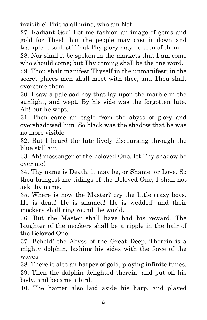invisible! This is all mine, who am Not.

27. Radiant God! Let me fashion an image of gems and gold for Thee! that the people may cast it down and trample it to dust! That Thy glory may be seen of them.

28. Nor shall it be spoken in the markets that I am come who should come; but Thy coming shall be the one word.

29. Thou shalt manifest Thyself in the unmanifest; in the secret places men shall meet with thee, and Thou shalt overcome them.

30. I saw a pale sad boy that lay upon the marble in the sunlight, and wept. By his side was the forgotten lute. Ah! but he wept.

31. Then came an eagle from the abyss of glory and overshadowed him. So black was the shadow that he was no more visible.

32. But I heard the lute lively discoursing through the blue still air.

33. Ah! messenger of the beloved One, let Thy shadow be over me!

34. Thy name is Death, it may be, or Shame, or Love. So thou bringest me tidings of the Beloved One, I shall not ask thy name.

35. Where is now the Master? cry the little crazy boys. He is dead! He is shamed! He is wedded! and their mockery shall ring round the world.

36. But the Master shall have had his reward. The laughter of the mockers shall be a ripple in the hair of the Beloved One.

37. Behold! the Abyss of the Great Deep. Therein is a mighty dolphin, lashing his sides with the force of the waves.

38. There is also an harper of gold, playing infinite tunes. 39. Then the dolphin delighted therein, and put off his body, and became a bird.

40. The harper also laid aside his harp, and played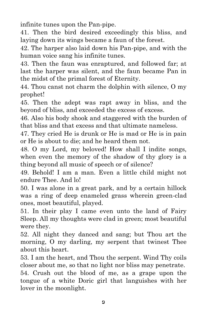infinite tunes upon the Pan-pipe.

41. Then the bird desired exceedingly this bliss, and laying down its wings became a faun of the forest.

42. The harper also laid down his Pan-pipe, and with the human voice sang his infinite tunes.

43. Then the faun was enraptured, and followed far; at last the harper was silent, and the faun became Pan in the midst of the primal forest of Eternity.

44. Thou canst not charm the dolphin with silence, O my prophet!

45. Then the adept was rapt away in bliss, and the beyond of bliss, and exceeded the excess of excess.

46. Also his body shook and staggered with the burden of that bliss and that excess and that ultimate nameless.

47. They cried He is drunk or He is mad or He is in pain or He is about to die; and he heard them not.

48. O my Lord, my beloved! How shall I indite songs, when even the memory of the shadow of thy glory is a thing beyond all music of speech or of silence?

49. Behold! I am a man. Even a little child might not endure Thee. And lo!

50. I was alone in a great park, and by a certain hillock was a ring of deep enameled grass wherein green-clad ones, most beautiful, played.

51. In their play I came even unto the land of Fairy Sleep. All my thoughts were clad in green; most beautiful were they.

52. All night they danced and sang; but Thou art the morning, O my darling, my serpent that twinest Thee about this heart.

53. I am the heart, and Thou the serpent. Wind Thy coils closer about me, so that no light nor bliss may penetrate.

54. Crush out the blood of me, as a grape upon the tongue of a white Doric girl that languishes with her lover in the moonlight.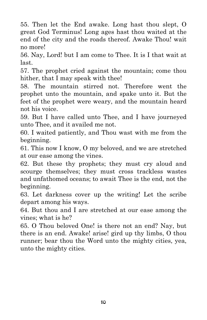55. Then let the End awake. Long hast thou slept, O great God Terminus! Long ages hast thou waited at the end of the city and the roads thereof. Awake Thou! wait no more!

56. Nay, Lord! but I am come to Thee. It is I that wait at last.

57. The prophet cried against the mountain; come thou hither, that I may speak with thee!

58. The mountain stirred not. Therefore went the prophet unto the mountain, and spake unto it. But the feet of the prophet were weary, and the mountain heard not his voice.

59. But I have called unto Thee, and I have journeyed unto Thee, and it availed me not.

60. I waited patiently, and Thou wast with me from the beginning.

61. This now I know, O my beloved, and we are stretched at our ease among the vines.

62. But these thy prophets; they must cry aloud and scourge themselves; they must cross trackless wastes and unfathomed oceans; to await Thee is the end, not the beginning.

63. Let darkness cover up the writing! Let the scribe depart among his ways.

64. But thou and I are stretched at our ease among the vines; what is he?

65. O Thou beloved One! is there not an end? Nay, but there is an end. Awake! arise! gird up thy limbs, O thou runner; bear thou the Word unto the mighty cities, yea, unto the mighty cities.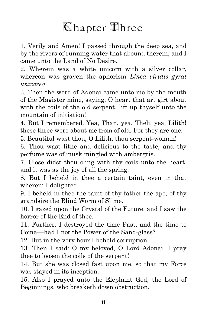#### Chapter Three

1. Verily and Amen! I passed through the deep sea, and by the rivers of running water that abound therein, and I came unto the Land of No Desire.

2. Wherein was a white unicorn with a silver collar, whereon was graven the aphorism *Linea viridis gyrat universa*.

3. Then the word of Adonai came unto me by the mouth of the Magister mine, saying: O heart that art girt about with the coils of the old serpent, lift up thyself unto the mountain of initiation!

4. But I remembered. Yea, Than, yea, Theli, yea, Lilith! these three were about me from of old. For they are one.

5. Beautiful wast thou, O Lilith, thou serpent-woman!

6. Thou wast lithe and delicious to the taste, and thy perfume was of musk mingled with ambergris.

7. Close didst thou cling with thy coils unto the heart, and it was as the joy of all the spring.

8. But I beheld in thee a certain taint, even in that wherein I delighted.

9. I beheld in thee the taint of thy father the ape, of thy grandsire the Blind Worm of Slime.

10. I gazed upon the Crystal of the Future, and I saw the horror of the End of thee.

11. Further, I destroyed the time Past, and the time to Come —had I not the Power of the Sand-glass?

12. But in the very hour I beheld corruption.

13. Then I said: O my beloved, O Lord Adonai, I pray thee to loosen the coils of the serpent!

14. But she was closed fast upon me, so that my Force was stayed in its inception.

15. Also I prayed unto the Elephant God, the Lord of Beginnings, who breaketh down obstruction.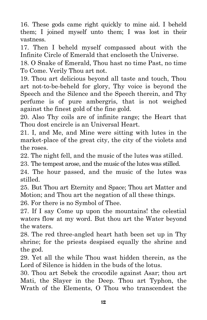16. These gods came right quickly to mine aid. I beheld them; I joined myself unto them; I was lost in their vastness.

17. Then I beheld myself compassed about with the Infinite Circle of Emerald that encloseth the Universe.

18. O Snake of Emerald, Thou hast no time Past, no time To Come. Verily Thou art not.

19. Thou art delicious beyond all taste and touch, Thou art not-to-be-beheld for glory, Thy voice is beyond the Speech and the Silence and the Speech therein, and Thy perfume is of pure ambergris, that is not weighed against the finest gold of the fine gold.

20. Also Thy coils are of infinite range; the Heart that Thou dost encircle is an Universal Heart.

21. I, and Me, and Mine were sitting with lutes in the market-place of the great city, the city of the violets and the roses.

22. The night fell, and the music of the lutes was stilled.

23. The tempest arose, and the music of the lutes was stilled.

24. The hour passed, and the music of the lutes was stilled.

25. But Thou art Eternity and Space; Thou art Matter and Motion; and Thou art the negation of all these things.

26. For there is no Symbol of Thee.

27. If I say Come up upon the mountains! the celestial waters flow at my word. But thou art the Water beyond the waters.

28. The red three-angled heart hath been set up in Thy shrine; for the priests despised equally the shrine and the god.

29. Yet all the while Thou wast hidden therein, as the Lord of Silence is hidden in the buds of the lotus.

30. Thou art Sebek the crocodile against Asar; thou art Mati, the Slayer in the Deep. Thou art Typhon, the Wrath of the Elements, O Thou who transcendest the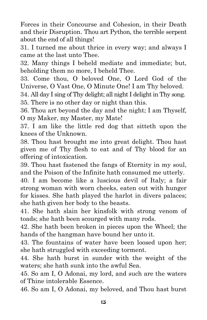Forces in their Concourse and Cohesion, in their Death and their Disruption. Thou art Python, the terrible serpent about the end of all things!

31. I turned me about thrice in every way; and always I came at the last unto Thee.

32. Many things I beheld mediate and immediate; but, beholding them no more, I beheld Thee.

33. Come thou, O beloved One, O Lord God of the Universe, O Vast One, O Minute One! I am Thy beloved.

34. All day I sing of Thy delight; all night I delight in Thy song. 35. There is no other day or night than this.

36. Thou art beyond the day and the night; I am Thyself, O my Maker, my Master, my Mate!

37. I am like the little red dog that sitteth upon the knees of the Unknown.

38. Thou hast brought me into great delight. Thou hast given me of Thy flesh to eat and of Thy blood for an offering of intoxication.

39. Thou hast fastened the fangs of Eternity in my soul, and the Poison of the Infinite hath consumed me utterly.

40. I am become like a luscious devil of Italy; a fair strong woman with worn cheeks, eaten out with hunger for kisses. She hath played the harlot in divers palaces; she hath given her body to the beasts.

41. She hath slain her kinsfolk with strong venom of toads; she hath been scourged with many rods.

42. She hath been broken in pieces upon the Wheel; the hands of the hangman have bound her unto it.

43. The fountains of water have been loosed upon her; she hath struggled with exceeding torment.

44. She hath burst in sunder with the weight of the waters; she hath sunk into the awful Sea.

45. So am I, O Adonai, my lord, and such are the waters of Thine intolerable Essence.

46. So am I, O Adonai, my beloved, and Thou hast burst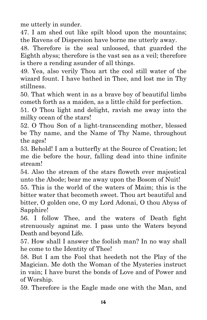me utterly in sunder.

47. I am shed out like spilt blood upon the mountains; the Ravens of Dispersion have borne me utterly away.

48. Therefore is the seal unloosed, that guarded the Eighth abyss; therefore is the vast sea as a veil; therefore is there a rending asunder of all things.

49. Yea, also verily Thou art the cool still water of the wizard fount. I have bathed in Thee, and lost me in Thy stillness.

50. That which went in as a brave boy of beautiful limbs cometh forth as a maiden, as a little child for perfection.

51. O Thou light and delight, ravish me away into the milky ocean of the stars!

52. O Thou Son of a light-transcending mother, blessed be Thy name, and the Name of Thy Name, throughout the ages!

53. Behold! I am a butterfly at the Source of Creation; let me die before the hour, falling dead into thine infinite stream!

54. Also the stream of the stars floweth ever majestical unto the Abode; bear me away upon the Bosom of Nuit!

55. This is the world of the waters of Maim; this is the bitter water that becometh sweet. Thou art beautiful and bitter, O golden one, O my Lord Adonai, O thou Abyss of Sapphire!

56. I follow Thee, and the waters of Death fight strenuously against me. I pass unto the Waters beyond Death and beyond Life.

57. How shall I answer the foolish man? In no way shall he come to the Identity of Thee!

58. But I am the Fool that heedeth not the Play of the Magician. Me doth the Woman of the Mysteries instruct in vain; I have burst the bonds of Love and of Power and of Worship.

59. Therefore is the Eagle made one with the Man, and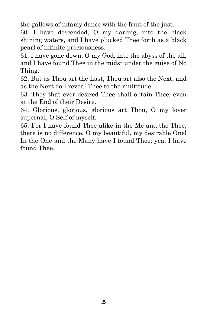the gallows of infamy dance with the fruit of the just.

60. I have descended, O my darling, into the black shining waters, and I have plucked Thee forth as a black pearl of infinite preciousness.

61. I have gone down, O my God, into the abyss of the all, and I have found Thee in the midst under the guise of No Thing.

62. But as Thou art the Last, Thou art also the Next, and as the Next do I reveal Thee to the multitude.

63. They that ever desired Thee shall obtain Thee, even at the End of their Desire.

64. Glorious, glorious, glorious art Thou, O my lover supernal, O Self of myself.

65. For I have found Thee alike in the Me and the Thee; there is no difference, O my beautiful, my desirable One! In the One and the Many have I found Thee; yea, I have found Thee.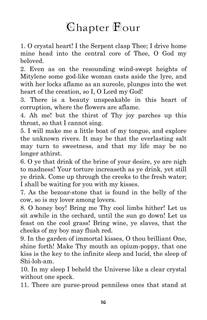#### Chapter **Four**

1. O crystal heart! I the Serpent clasp Thee; I drive home mine head into the central core of Thee, O God my beloved.

2. Even as on the resounding wind-swept heights of Mitylene some god-like woman casts aside the lyre, and with her locks aflame as an aureole, plunges into the wet heart of the creation, so I, O Lord my God!

3. There is a beauty unspeakable in this heart of corruption, where the flowers are aflame.

4. Ah me! but the thirst of Thy joy parches up this throat, so that I cannot sing.

5. I will make me a little boat of my tongue, and explore the unknown rivers. It may be that the everlasting salt may turn to sweetness, and that my life may be no longer athirst.

6. O ye that drink of the brine of your desire, ye are nigh to madness! Your torture increaseth as ye drink, yet still ye drink. Come up through the creeks to the fresh water; I shall be waiting for you with my kisses.

7. As the bezoar-stone that is found in the belly of the cow, so is my lover among lovers.

8. O honey boy! Bring me Thy cool limbs hither! Let us sit awhile in the orchard, until the sun go down! Let us feast on the cool grass! Bring wine, ye slaves, that the cheeks of my boy may flush red.

9. In the garden of immortal kisses, O thou brilliant One, shine forth! Make Thy mouth an opium-poppy, that one kiss is the key to the infinite sleep and lucid, the sleep of Shi-loh-am.

10. In my sleep I beheld the Universe like a clear crystal without one speck.

11. There are purse-proud penniless ones that stand at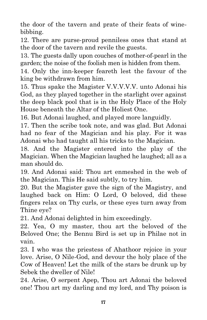the door of the tavern and prate of their feats of winebibbing.

12. There are purse-proud penniless ones that stand at the door of the tavern and revile the guests.

13. The guests dally upon couches of mother-of-pearl in the garden; the noise of the foolish men is hidden from them.

14. Only the inn-keeper feareth lest the favour of the king be withdrawn from him.

15. Thus spake the Magister V.V.V.V.V. unto Adonai his God, as they played together in the starlight over against the deep black pool that is in the Holy Place of the Holy House beneath the Altar of the Holiest One.

16. But Adonai laughed, and played more languidly.

17. Then the scribe took note, and was glad. But Adonai had no fear of the Magician and his play. For it was Adonai who had taught all his tricks to the Magician.

18. And the Magister entered into the play of the Magician. When the Magician laughed he laughed; all as a man should do.

19. And Adonai said: Thou art enmeshed in the web of the Magician. This He said subtly, to try him.

20. But the Magister gave the sign of the Magistry, and laughed back on Him: O Lord, O beloved, did these fingers relax on Thy curls, or these eyes turn away from Thine eye?

21. And Adonai delighted in him exceedingly.

22. Yea, O my master, thou art the beloved of the Beloved One; the Bennu Bird is set up in Philae not in vain.

23. I who was the priestess of Ahathoor rejoice in your love. Arise, O Nile-God, and devour the holy place of the Cow of Heaven! Let the milk of the stars be drunk up by Sebek the dweller of Nile!

24. Arise, O serpent Apep, Thou art Adonai the beloved one! Thou art my darling and my lord, and Thy poison is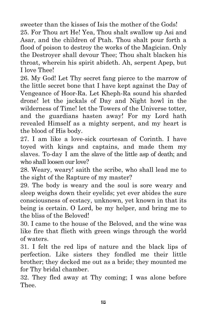sweeter than the kisses of Isis the mother of the Gods! 25. For Thou art He! Yea, Thou shalt swallow up Asi and Asar, and the children of Ptah. Thou shalt pour forth a flood of poison to destroy the works of the Magician. Only the Destroyer shall devour Thee; Thou shalt blacken his throat, wherein his spirit abideth. Ah, serpent Apep, but I love Thee!

26. My God! Let Thy secret fang pierce to the marrow of the little secret bone that I have kept against the Day of Vengeance of Hoor-Ra. Let Kheph-Ra sound his sharded drone! let the jackals of Day and Night howl in the wilderness of Time! let the Towers of the Universe totter, and the guardians hasten away! For my Lord hath revealed Himself as a mighty serpent, and my heart is the blood of His body.

27. I am like a love-sick courtesan of Corinth. I have toyed with kings and captains, and made them my slaves. To-day I am the slave of the little asp of death; and who shall loosen our love?

28. Weary, weary! saith the scribe, who shall lead me to the sight of the Rapture of my master?

29. The body is weary and the soul is sore weary and sleep weighs down their eyelids; yet ever abides the sure consciousness of ecstacy, unknown, yet known in that its being is certain. O Lord, be my helper, and bring me to the bliss of the Beloved!

30. I came to the house of the Beloved, and the wine was like fire that flieth with green wings through the world of waters.

31. I felt the red lips of nature and the black lips of perfection. Like sisters they fondled me their little brother; they decked me out as a bride; they mounted me for Thy bridal chamber.

32. They fled away at Thy coming; I was alone before Thee.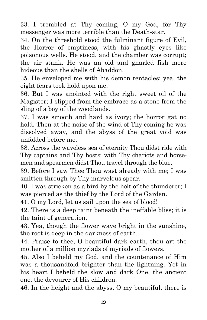33. I trembled at Thy coming, O my God, for Thy messenger was more terrible than the Death-star.

34. On the threshold stood the fulminant figure of Evil, the Horror of emptiness, with his ghastly eyes like poisonous wells. He stood, and the chamber was corrupt; the air stank. He was an old and gnarled fish more hideous than the shells of Abaddon.

35. He enveloped me with his demon tentacles; yea, the eight fears took hold upon me.

36. But I was anointed with the right sweet oil of the Magister; I slipped from the embrace as a stone from the sling of a boy of the woodlands.

37. I was smooth and hard as ivory; the horror gat no hold. Then at the noise of the wind of Thy coming he was dissolved away, and the abyss of the great void was unfolded before me.

38. Across the waveless sea of eternity Thou didst ride with Thy captains and Thy hosts; with Thy chariots and horsemen and spearmen didst Thou travel through the blue.

39. Before I saw Thee Thou wast already with me; I was smitten through by Thy marvelous spear.

40. I was stricken as a bird by the bolt of the thunderer; I was pierced as the thief by the Lord of the Garden.

41. O my Lord, let us sail upon the sea of blood!

42. There is a deep taint beneath the ineffable bliss; it is the taint of generation.

43. Yea, though the flower wave bright in the sunshine, the root is deep in the darkness of earth.

44. Praise to thee, O beautiful dark earth, thou art the mother of a million myriads of myriads of flowers.

45. Also I beheld my God, and the countenance of Him was a thousandfold brighter than the lightning. Yet in his heart I beheld the slow and dark One, the ancient one, the devourer of His children.

46. In the height and the abyss, O my beautiful, there is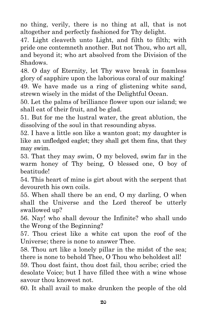no thing, verily, there is no thing at all, that is not altogether and perfectly fashioned for Thy delight.

47. Light cleaveth unto Light, and filth to filth; with pride one contemneth another. But not Thou, who art all, and beyond it; who art absolved from the Division of the Shadows.

48. O day of Eternity, let Thy wave break in foamless glory of sapphire upon the laborious coral of our making! 49. We have made us a ring of glistening white sand, strewn wisely in the midst of the Delightful Ocean.

50. Let the palms of brilliance flower upon our island; we shall eat of their fruit, and be glad.

51. But for me the lustral water, the great ablution, the dissolving of the soul in that resounding abyss.

52. I have a little son like a wanton goat; my daughter is like an unfledged eaglet; they shall get them fins, that they may swim.

53. That they may swim, O my beloved, swim far in the warm honey of Thy being, O blessed one, O boy of beatitude!

54. This heart of mine is girt about with the serpent that devoureth his own coils.

55. When shall there be an end, O my darling, O when shall the Universe and the Lord thereof be utterly swallowed up?

56. Nay! who shall devour the Infinite? who shall undo the Wrong of the Beginning?

57. Thou criest like a white cat upon the roof of the Universe; there is none to answer Thee.

58. Thou art like a lonely pillar in the midst of the sea; there is none to behold Thee, O Thou who beholdest all!

59. Thou dost faint, thou dost fail, thou scribe; cried the desolate Voice; but I have filled thee with a wine whose savour thou knowest not.

60. It shall avail to make drunken the people of the old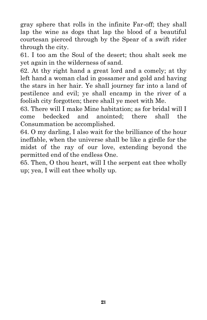gray sphere that rolls in the infinite Far-off; they shall lap the wine as dogs that lap the blood of a beautiful courtesan pierced through by the Spear of a swift rider through the city.

61. I too am the Soul of the desert; thou shalt seek me yet again in the wilderness of sand.

62. At thy right hand a great lord and a comely; at thy left hand a woman clad in gossamer and gold and having the stars in her hair. Ye shall journey far into a land of pestilence and evil; ye shall encamp in the river of a foolish city forgotten; there shall ye meet with Me.

63. There will I make Mine habitation; as for bridal will I come bedecked and anointed; there shall the Consummation be accomplished.

64. O my darling, I also wait for the brilliance of the hour ineffable, when the universe shall be like a girdle for the midst of the ray of our love, extending beyond the permitted end of the endless One.

65. Then, O thou heart, will I the serpent eat thee wholly up; yea, I will eat thee wholly up.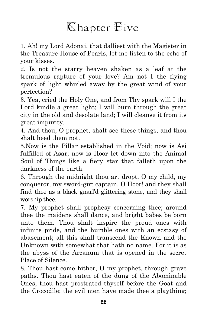#### **Chapter Flive**

1. Ah! my Lord Adonai, that dalliest with the Magister in the Treasure-House of Pearls, let me listen to the echo of your kisses.

2. Is not the starry heaven shaken as a leaf at the tremulous rapture of your love? Am not I the flying spark of light whirled away by the great wind of your perfection?

3. Yea, cried the Holy One, and from Thy spark will I the Lord kindle a great light; I will burn through the great city in the old and desolate land; I will cleanse it from its great impurity.

4. And thou, O prophet, shalt see these things, and thou shalt heed them not.

5.Now is the Pillar established in the Void; now is Asi fulfilled of Asar; now is Hoor let down into the Animal Soul of Things like a fiery star that falleth upon the darkness of the earth.

6. Through the midnight thou art dropt, O my child, my conqueror, my sword-girt captain, O Hoor! and they shall find thee as a black gnarl'd glittering stone, and they shall worship thee.

7. My prophet shall prophesy concerning thee; around thee the maidens shall dance, and bright babes be born unto them. Thou shalt inspire the proud ones with infinite pride, and the humble ones with an ecstasy of abasement; all this shall transcend the Known and the Unknown with somewhat that hath no name. For it is as the abyss of the Arcanum that is opened in the secret Place of Silence.

8. Thou hast come hither, O my prophet, through grave paths. Thou hast eaten of the dung of the Abominable Ones; thou hast prostrated thyself before the Goat and the Crocodile; the evil men have made thee a plaything;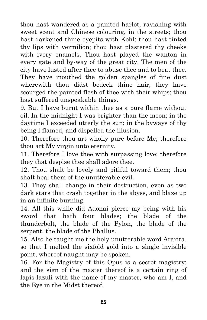thou hast wandered as a painted harlot, ravishing with sweet scent and Chinese colouring, in the streets; thou hast darkened thine eyepits with Kohl; thou hast tinted thy lips with vermilion; thou hast plastered thy cheeks with ivory enamels. Thou hast played the wanton in every gate and by-way of the great city. The men of the city have lusted after thee to abuse thee and to beat thee. They have mouthed the golden spangles of fine dust wherewith thou didst bedeck thine hair; they have scourged the painted flesh of thee with their whips; thou hast suffered unspeakable things.

9. But I have burnt within thee as a pure flame without oil. In the midnight I was brighter than the moon; in the daytime I exceeded utterly the sun; in the byways of thy being I flamed, and dispelled the illusion.

10. Therefore thou art wholly pure before Me; therefore thou art My virgin unto eternity.

11. Therefore I love thee with surpassing love; therefore they that despise thee shall adore thee.

12. Thou shalt be lovely and pitiful toward them; thou shalt heal them of the unutterable evil.

13. They shall change in their destruction, even as two dark stars that crash together in the abyss, and blaze up in an infinite burning.

14. All this while did Adonai pierce my being with his sword that hath four blades; the blade of the thunderbolt, the blade of the Pylon, the blade of the serpent, the blade of the Phallus.

15. Also he taught me the holy unutterable word Ararita, so that I melted the sixfold gold into a single invisible point, whereof naught may be spoken.

16. For the Magistry of this Opus is a secret magistry; and the sign of the master thereof is a certain ring of lapis-lazuli with the name of my master, who am I, and the Eye in the Midst thereof.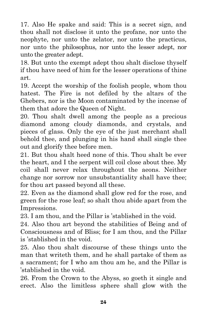17. Also He spake and said: This is a secret sign, and thou shall not disclose it unto the profane, nor unto the neophyte, nor unto the zelator, nor unto the practicus, nor unto the philosophus, nor unto the lesser adept, nor unto the greater adept.

18. But unto the exempt adept thou shalt disclose thyself if thou have need of him for the lesser operations of thine art.

19. Accept the worship of the foolish people, whom thou hatest. The Fire is not defiled by the altars of the Ghebers, nor is the Moon contaminated by the incense of them that adore the Queen of Night.

20. Thou shalt dwell among the people as a precious diamond among cloudy diamonds, and crystals, and pieces of glass. Only the eye of the just merchant shall behold thee, and plunging in his hand shall single thee out and glorify thee before men.

21. But thou shalt heed none of this. Thou shalt be ever the heart, and I the serpent will coil close about thee. My coil shall never relax throughout the aeons. Neither change nor sorrow nor unsubstantiality shall have thee; for thou art passed beyond all these.

22. Even as the diamond shall glow red for the rose, and green for the rose leaf; so shalt thou abide apart from the Impressions.

23. I am thou, and the Pillar is 'stablished in the void.

24. Also thou art beyond the stabilities of Being and of Consciousness and of Bliss; for I am thou, and the Pillar is 'stablished in the void.

25. Also thou shalt discourse of these things unto the man that writeth them, and he shall partake of them as a sacrament; for I who am thou am he, and the Pillar is 'stablished in the void.

26. From the Crown to the Abyss, so goeth it single and erect. Also the limitless sphere shall glow with the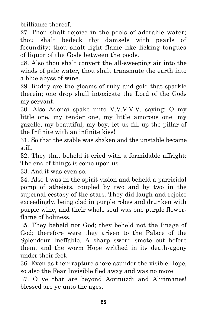brilliance thereof.

27. Thou shalt rejoice in the pools of adorable water; thou shalt bedeck thy damsels with pearls of fecundity; thou shalt light flame like licking tongues of liquor of the Gods between the pools.

28. Also thou shalt convert the all-sweeping air into the winds of pale water, thou shalt transmute the earth into a blue abyss of wine.

29. Ruddy are the gleams of ruby and gold that sparkle therein; one drop shall intoxicate the Lord of the Gods my servant.

30. Also Adonai spake unto V.V.V.V.V. saying: O my little one, my tender one, my little amorous one, my gazelle, my beautiful, my boy, let us fill up the pillar of the Infinite with an infinite kiss!

31. So that the stable was shaken and the unstable became still.

32. They that beheld it cried with a formidable affright: The end of things is come upon us.

33. And it was even so.

34. Also I was in the spirit vision and beheld a parricidal pomp of atheists, coupled by two and by two in the supernal ecstasy of the stars. They did laugh and rejoice exceedingly, being clad in purple robes and drunken with purple wine, and their whole soul was one purple flowerflame of holiness.

35. They beheld not God; they beheld not the Image of God; therefore were they arisen to the Palace of the Splendour Ineffable. A sharp sword smote out before them, and the worm Hope writhed in its death-agony under their feet.

36. Even as their rapture shore asunder the visible Hope, so also the Fear Invisible fled away and was no more.

37. O ye that are beyond Aormuzdi and Ahrimanes! blessed are ye unto the ages.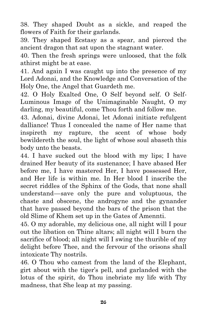38. They shaped Doubt as a sickle, and reaped the flowers of Faith for their garlands.

39. They shaped Ecstasy as a spear, and pierced the ancient dragon that sat upon the stagnant water.

40. Then the fresh springs were unloosed, that the folk athirst might be at ease.

41. And again I was caught up into the presence of my Lord Adonai, and the Knowledge and Conversation of the Holy One, the Angel that Guardeth me.

42. O Holy Exalted One, O Self beyond self. O Self-Luminous Image of the Unimaginable Naught, O my darling, my beautiful, come Thou forth and follow me.

43. Adonai, divine Adonai, let Adonai initiate refulgent dalliance! Thus I concealed the name of Her name that inspireth my rapture, the scent of whose body bewildereth the soul, the light of whose soul abaseth this body unto the beasts.

44. I have sucked out the blood with my lips; I have drained Her beauty of its sustenance; I have abased Her before me, I have mastered Her, I have possessed Her, and Her life is within me. In Her blood I inscribe the secret riddles of the Sphinx of the Gods, that none shall understand —save only the pure and voluptuous, the chaste and obscene, the androgyne and the gynander that have passed beyond the bars of the prison that the old Slime of Khem set up in the Gates of Amennti.

45. O my adorable, my delicious one, all night will I pour out the libation on Thine altars; all night will I burn the sacrifice of blood; all night will I swing the thurible of my delight before Thee, and the fervour of the orisons shall intoxicate Thy nostrils.

46. O Thou who camest from the land of the Elephant, girt about with the tiger's pell, and garlanded with the lotus of the spirit, do Thou inebriate my life with Thy madness, that She leap at my passing.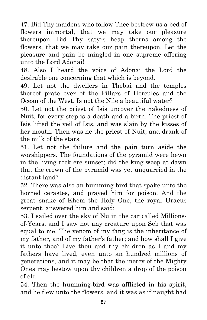47. Bid Thy maidens who follow Thee bestrew us a bed of flowers immortal, that we may take our pleasure thereupon. Bid Thy satyrs heap thorns among the flowers, that we may take our pain thereupon. Let the pleasure and pain be mingled in one supreme offering unto the Lord Adonai!

48. Also I heard the voice of Adonai the Lord the desirable one concerning that which is beyond.

49. Let not the dwellers in Thebai and the temples thereof prate ever of the Pillars of Hercules and the Ocean of the West. Is not the Nile a beautiful water?

50. Let not the priest of Isis uncover the nakedness of Nuit, for every step is a death and a birth. The priest of Isis lifted the veil of Isis, and was slain by the kisses of her mouth. Then was he the priest of Nuit, and drank of the milk of the stars.

51. Let not the failure and the pain turn aside the worshippers. The foundations of the pyramid were hewn in the living rock ere sunset; did the king weep at dawn that the crown of the pyramid was yet unquarried in the distant land?

52. There was also an humming-bird that spake unto the horned cerastes, and prayed him for poison. And the great snake of Khem the Holy One, the royal Uraeus serpent, answered him and said:

53. I sailed over the sky of Nu in the car called Millionsof-Years, and I saw not any creature upon Seb that was equal to me. The venom of my fang is the inheritance of my father, and of my father's father; and how shall I give it unto thee? Live thou and thy children as I and my fathers have lived, even unto an hundred millions of generations, and it may be that the mercy of the Mighty Ones may bestow upon thy children a drop of the poison of eld.

54. Then the humming-bird was afflicted in his spirit, and he flew unto the flowers, and it was as if naught had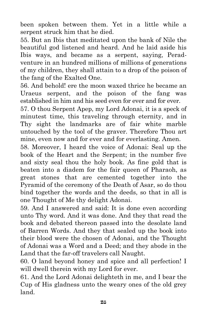been spoken between them. Yet in a little while a serpent struck him that he died.

55. But an Ibis that meditated upon the bank of Nile the beautiful god listened and heard. And he laid aside his Ibis ways, and became as a serpent, saying, Peradventure in an hundred millions of millions of generations of my children, they shall attain to a drop of the poison of the fang of the Exalted One.

56. And behold! ere the moon waxed thrice he became an Uraeus serpent, and the poison of the fang was established in him and his seed even for ever and for ever.

57. O thou Serpent Apep, my Lord Adonai, it is a speck of minutest time, this traveling through eternity, and in Thy sight the landmarks are of fair white marble untouched by the tool of the graver. Therefore Thou art mine, even now and for ever and for everlasting. Amen.

58. Moreover, I heard the voice of Adonai: Seal up the book of the Heart and the Serpent; in the number five and sixty seal thou the holy book. As fine gold that is beaten into a diadem for the fair queen of Pharaoh, as great stones that are cemented together into the Pyramid of the ceremony of the Death of Asar, so do thou bind together the words and the deeds, so that in all is one Thought of Me thy delight Adonai.

59. And I answered and said: It is done even according unto Thy word. And it was done. And they that read the book and debated thereon passed into the desolate land of Barren Words. And they that sealed up the book into their blood were the chosen of Adonai, and the Thought of Adonai was a Word and a Deed; and they abode in the Land that the far-off travelers call Naught.

60. O land beyond honey and spice and all perfection! I will dwell therein with my Lord for ever.

61. And the Lord Adonai delighteth in me, and I bear the Cup of His gladness unto the weary ones of the old grey land.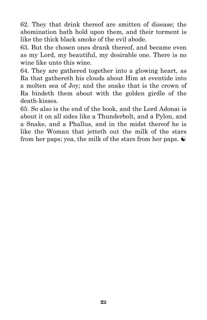62. They that drink thereof are smitten of disease; the abomination hath hold upon them, and their torment is like the thick black smoke of the evil abode.

63. But the chosen ones drank thereof, and became even as my Lord, my beautiful, my desirable one. There is no wine like unto this wine.

64. They are gathered together into a glowing heart, as Ra that gathereth his clouds about Him at eventide into a molten sea of Joy; and the snake that is the crown of Ra bindeth them about with the golden girdle of the death-kisses.

65. So also is the end of the book, and the Lord Adonai is about it on all sides like a Thunderbolt, and a Pylon, and a Snake, and a Phallus, and in the midst thereof he is like the Woman that jetteth out the milk of the stars from her paps; yea, the milk of the stars from her paps.  $\odot$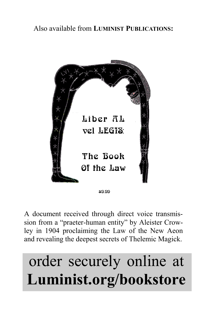

A document received through direct voice transmission from a "praeter-human entity" by Aleister Crowley in 1904 proclaiming the Law of the New Aeon and revealing the deepest secrets of Thelemic Magick.

### order securely online at **Luminist.org/bookstore**